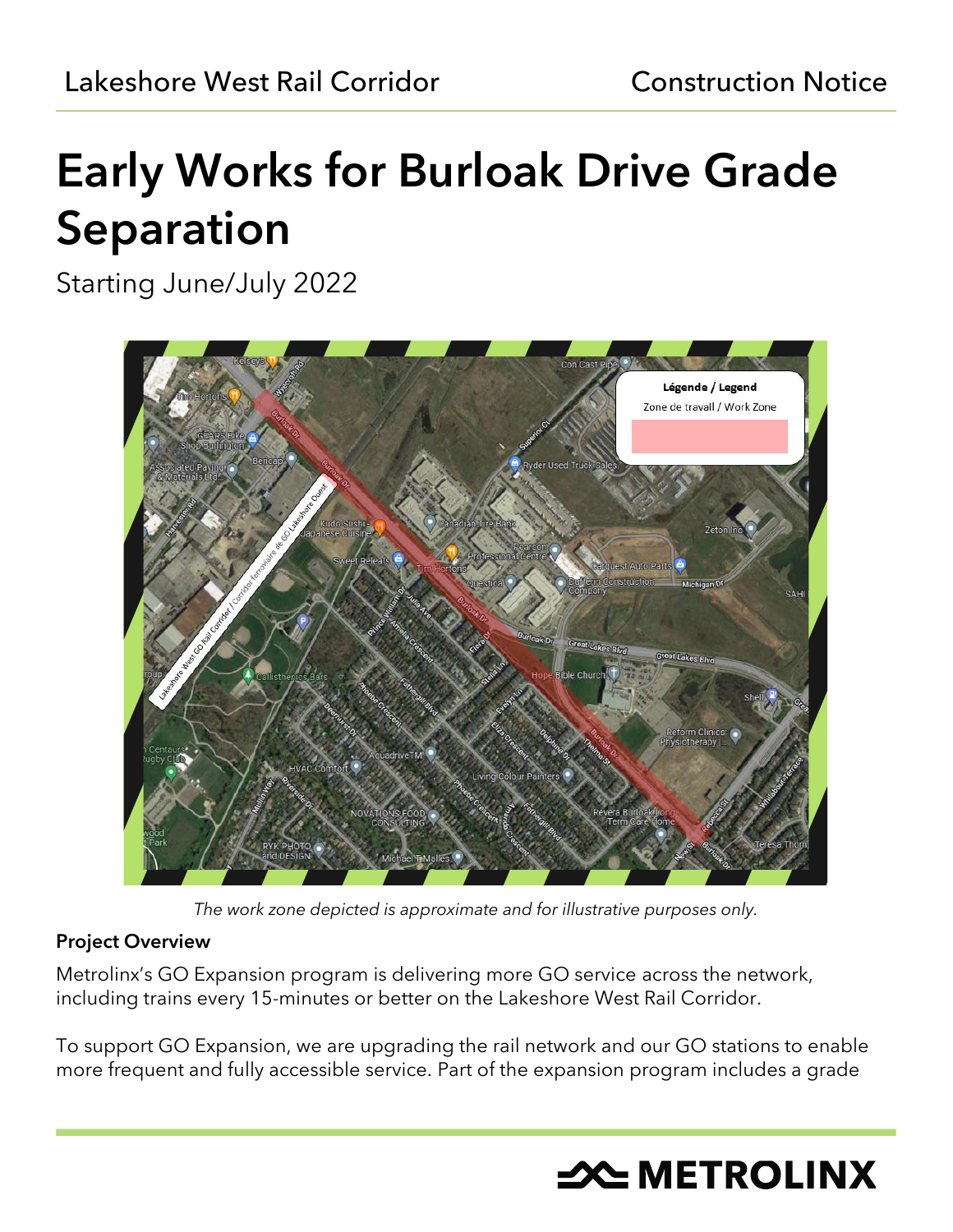# Early Works for Burloak Drive Grade Separation

Starting June/July 2022



*The work zone depicted is approximate and for illustrative purposes only.*

## Project Overview

Metrolinx's GO Expansion program is delivering more GO service across the network, including trains every 15-minutes or better on the Lakeshore West Rail Corridor.

To support GO Expansion, we are upgrading the rail network and our GO stations to enable more frequent and fully accessible service. Part of the expansion program includes a grade